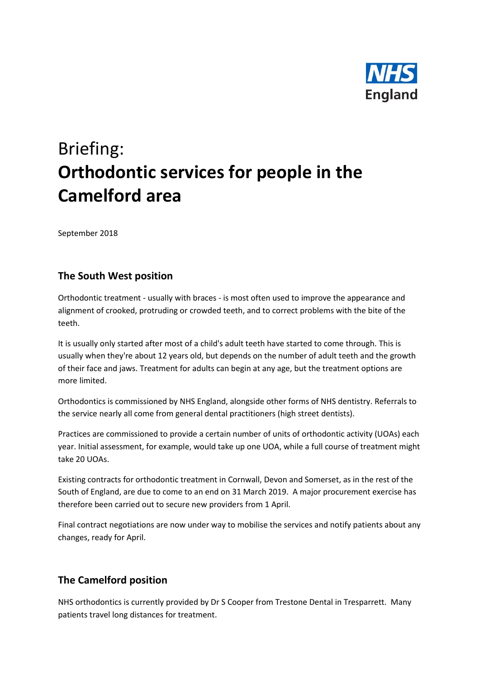

## Briefing: **Orthodontic services for people in the Camelford area**

September 2018

## **The South West position**

Orthodontic treatment - usually with braces - is most often used to improve the appearance and alignment of crooked, protruding or crowded teeth, and to correct problems with the bite of the teeth.

It is usually only started after most of a child's adult teeth have started to come through. This is usually when they're about 12 years old, but depends on the number of adult teeth and the growth of their face and jaws. Treatment for adults can begin at any age, but the treatment options are more limited.

Orthodontics is commissioned by NHS England, alongside other forms of NHS dentistry. Referrals to the service nearly all come from general dental practitioners (high street dentists).

Practices are commissioned to provide a certain number of units of orthodontic activity (UOAs) each year. Initial assessment, for example, would take up one UOA, while a full course of treatment might take 20 UOAs.

Existing contracts for orthodontic treatment in Cornwall, Devon and Somerset, as in the rest of the South of England, are due to come to an end on 31 March 2019. A major procurement exercise has therefore been carried out to secure new providers from 1 April.

Final contract negotiations are now under way to mobilise the services and notify patients about any changes, ready for April.

## **The Camelford position**

NHS orthodontics is currently provided by Dr S Cooper from Trestone Dental in Tresparrett. Many patients travel long distances for treatment.